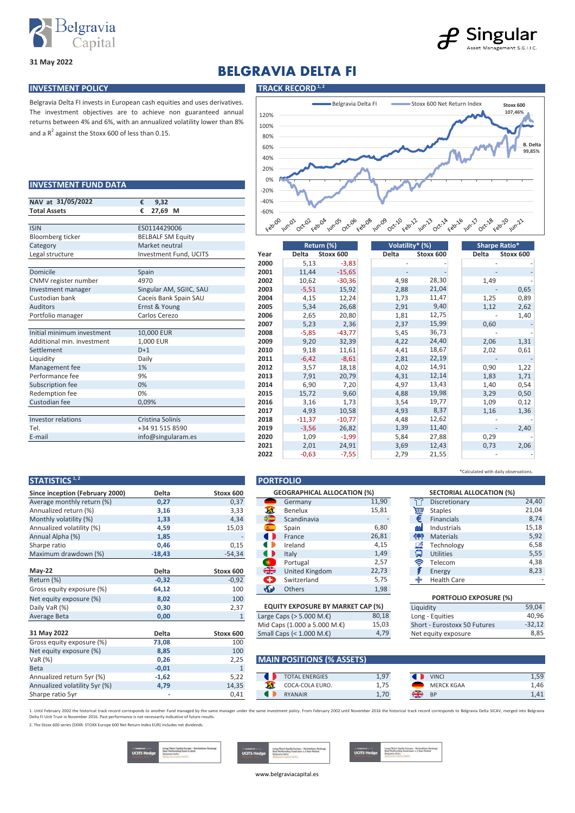

**INVESTMENT FUND DATA**

and a  $R^2$  against the Stoxx 600 of less than 0.15.

## 2 Singular Management S.G.I.I.C

**31 May 2022**

# **BELGRAVIA DELTA FI**

### **INVESTMENT POLICY TRACK RECORD**<sup>1,2</sup>



| NAV at 31/05/2022          | €<br>9.32                |  |  |  |  |
|----------------------------|--------------------------|--|--|--|--|
| <b>Total Assets</b>        | €<br>27,69<br>М          |  |  |  |  |
| <b>ISIN</b>                |                          |  |  |  |  |
|                            | ES0114429006             |  |  |  |  |
| <b>Bloomberg ticker</b>    | <b>BELBALF SM Equity</b> |  |  |  |  |
| Category                   | Market neutral           |  |  |  |  |
| Legal structure            | Investment Fund, UCITS   |  |  |  |  |
| Domicile                   | Spain                    |  |  |  |  |
| CNMV register number       | 4970                     |  |  |  |  |
| Investment manager         | Singular AM, SGIIC, SAU  |  |  |  |  |
| Custodian bank             | Caceis Bank Spain SAU    |  |  |  |  |
| Auditors                   | Ernst & Young            |  |  |  |  |
| Portfolio manager          | Carlos Cerezo            |  |  |  |  |
|                            |                          |  |  |  |  |
| Initial minimum investment | 10,000 EUR               |  |  |  |  |
| Additional min. investment | 1,000 EUR                |  |  |  |  |
| Settlement                 | $D+1$                    |  |  |  |  |
| Liquidity                  | Daily                    |  |  |  |  |
| Management fee             | 1%                       |  |  |  |  |
| Performance fee            | 9%                       |  |  |  |  |
| Subscription fee           | 0%                       |  |  |  |  |
| Redemption fee             | 0%                       |  |  |  |  |
| Custodian fee              | 0,09%                    |  |  |  |  |
|                            |                          |  |  |  |  |
| Investor relations         | Cristina Solinís         |  |  |  |  |
| Tel.                       | +34 91 515 8590          |  |  |  |  |
| E-mail                     | info@singularam.es       |  |  |  |  |

Belgravia Delta FI invests in European cash equities and uses derivatives. The investment objectives are to achieve non guaranteed annual returns between 4% and 6%, with an annualized volatility lower than 8%

| Bloomberg ticker           | <b>BELBALF SM Equity</b> |      |          |            |                 |           |                          |                          |
|----------------------------|--------------------------|------|----------|------------|-----------------|-----------|--------------------------|--------------------------|
| Category                   | Market neutral           |      |          | Return (%) | Volatility* (%) |           |                          | Sharpe Ratio*            |
| Legal structure            | Investment Fund, UCITS   | Year | Delta    | Stoxx 600  | <b>Delta</b>    | Stoxx 600 | <b>Delta</b>             | Stoxx 600                |
|                            |                          | 2000 | 5,13     | $-3,83$    |                 |           |                          |                          |
| Domicile                   | Spain                    | 2001 | 11,44    | $-15,65$   |                 |           |                          |                          |
| CNMV register number       | 4970                     | 2002 | 10,62    | $-30,36$   | 4,98            | 28,30     | 1,49                     |                          |
| Investment manager         | Singular AM, SGIIC, SAU  | 2003 | $-5,51$  | 15,92      | 2,88            | 21,04     |                          | 0,65                     |
| Custodian bank             | Caceis Bank Spain SAU    | 2004 | 4,15     | 12,24      | 1,73            | 11,47     | 1,25                     | 0,89                     |
| <b>Auditors</b>            | Ernst & Young            | 2005 | 5,34     | 26,68      | 2,91            | 9,40      | 1,12                     | 2,62                     |
| Portfolio manager          | Carlos Cerezo            | 2006 | 2,65     | 20,80      | 1,81            | 12,75     |                          | 1,40                     |
|                            |                          | 2007 | 5,23     | 2,36       | 2,37            | 15,99     | 0,60                     |                          |
| Initial minimum investment | 10,000 EUR               | 2008 | $-5,85$  | $-43,77$   | 5,45            | 36,73     |                          |                          |
| Additional min. investment | 1,000 EUR                | 2009 | 9,20     | 32,39      | 4,22            | 24,40     | 2,06                     | 1,31                     |
| Settlement                 | $D+1$                    | 2010 | 9,18     | 11,61      | 4,41            | 18,67     | 2,02                     | 0,61                     |
| Liquidity                  | Daily                    | 2011 | $-6,42$  | $-8,61$    | 2,81            | 22,19     |                          |                          |
| Management fee             | 1%                       | 2012 | 3,57     | 18,18      | 4,02            | 14,91     | 0,90                     | 1,22                     |
| Performance fee            | 9%                       | 2013 | 7,91     | 20,79      | 4,31            | 12,14     | 1,83                     | 1,71                     |
| Subscription fee           | 0%                       | 2014 | 6,90     | 7,20       | 4,97            | 13,43     | 1,40                     | 0,54                     |
| Redemption fee             | 0%                       | 2015 | 15,72    | 9,60       | 4,88            | 19,98     | 3,29                     | 0,50                     |
| Custodian fee              | 0,09%                    | 2016 | 3,16     | 1,73       | 3,54            | 19,77     | 1,09                     | 0,12                     |
|                            |                          | 2017 | 4,93     | 10,58      | 4,93            | 8,37      | 1,16                     | 1,36                     |
| Investor relations         | Cristina Solinís         | 2018 | $-11,37$ | $-10,77$   | 4,48            | 12,62     |                          | $\overline{\phantom{a}}$ |
| Tel.                       | +34 91 515 8590          | 2019 | $-3,56$  | 26,82      | 1,39            | 11,40     | $\overline{\phantom{a}}$ | 2,40                     |
| E-mail                     | info@singularam.es       | 2020 | 1,09     | $-1,99$    | 5,84            | 27,88     | 0,29                     | $\overline{\phantom{a}}$ |
|                            |                          | 2021 | 2,01     | 24,91      | 3,69            | 12,43     | 0,73                     | 2,06                     |
|                            |                          | 2022 | $-0,63$  | $-7,55$    | 2,79            | 21,55     |                          |                          |
|                            |                          |      |          |            |                 |           |                          |                          |

### **STATISTICS**<sup>1,2</sup> **PORTFOLIO**

| Since inception (February 2000) | <b>Delta</b> | Stoxx 600    |                            | <b>GEOGRAPHICAL ALLOCATION (%)</b>       |       |           | <b>SECTORIAL A</b>  |
|---------------------------------|--------------|--------------|----------------------------|------------------------------------------|-------|-----------|---------------------|
| Average monthly return (%)      | 0,27         | 0,37         |                            | Germany                                  | 11,90 | Ű         | Discretionary       |
| Annualized return (%)           | 3,16         | 3,33         | ŦГ                         | Benelux                                  | 15,81 | 圇         | <b>Staples</b>      |
| Monthly volatility (%)          | 1,33         | 4,34         | $\triangleq$               | Scandinavia                              |       | €         | <b>Financials</b>   |
| Annualized volatility (%)       | 4,59         | 15,03        | $d\mathbf{G} \mathbf{a}$ . | Spain                                    | 6,80  | dá        | Industrials         |
| Annual Alpha (%)                | 1,85         |              | $\blacksquare$             | France                                   | 26,81 | 仲         | <b>Materials</b>    |
| Sharpe ratio                    | 0,46         | 0,15         | a i                        | Ireland                                  | 4,15  | 凾         | Technology          |
| Maximum drawdown (%)            | $-18,43$     | $-54,34$     | <b>4</b> D                 | Italy                                    | 1,49  | Q         | <b>Utilities</b>    |
|                                 |              |              | $\bullet$                  | Portugal                                 | 2,57  | ଛ         | Telecom             |
| $May-22$                        | <b>Delta</b> | Stoxx 600    | ╬                          | United Kingdom                           | 22,73 |           | Energy              |
| Return (%)                      | $-0,32$      | $-0,92$      | O                          | Switzerland                              | 5,75  |           | <b>Health Care</b>  |
| Gross equity exposure (%)       | 64,12        | 100          | $\bigoplus$                | Others                                   | 1,98  |           |                     |
| Net equity exposure (%)         | 8,02         | 100          |                            |                                          |       |           | <b>PORTFOLIO</b>    |
| Daily VaR (%)                   | 0,30         | 2,37         |                            | <b>EQUITY EXPOSURE BY MARKET CAP (%)</b> |       | Liquidity |                     |
| Average Beta                    | 0,00         | $\mathbf{1}$ |                            | Large Caps ( $>$ 5.000 M. $\epsilon$ )   | 80,18 |           | Long - Equities     |
|                                 |              |              |                            | Mid Caps (1.000 a 5.000 M.€)             | 15,03 |           | Short - Eurostoxx 5 |
| 31 May 2022                     | <b>Delta</b> | Stoxx 600    |                            | Small Caps (< $1.000 M.E$ )              | 4,79  |           | Net equity exposure |
| Gross equity exposure (%)       | 73,08        | 100          |                            |                                          |       |           |                     |
| Net equity exposure (%)         | 8,85         | 100          |                            |                                          |       |           |                     |
| VaR (%)                         | 0,26         | 2,25         |                            | <b>MAIN POSITIONS (% ASSETS)</b>         |       |           |                     |
| <b>Beta</b>                     | $-0,01$      | $1\,$        |                            |                                          |       |           |                     |
| Annualized return 5yr (%)       | $-1,62$      | 5,22         |                            | <b>TOTAL ENERGIES</b>                    | 1,97  |           | <b>VINCI</b>        |
| Annualized volatility 5yr (%)   | 4,79         | 14,35        | X                          | COCA-COLA EURO.                          | 1,75  |           | <b>MERCK KGAA</b>   |
| Sharpe ratio 5yr                | ٠            | 0,41         |                            | <b>RYANAIR</b>                           | 1,70  | ╬         | <b>BP</b>           |

Portugal 2,57 <br>
United Kingdom 22,73 <br> **F** Energy United Kingdom 22,73 **F** Energy<br>Switzerland 5,75 **H** Health Care  $\angle$  Large Caps (> 5.000 M. $\epsilon$ ) 80,18 Long - Equities Telecom 4,38 15,81 - 22,73 - 59,04 -32,12 40,96 **PORTFOLIO EXPOSURE (%)**<br>Liquidity 5,75 1,98 5,55 6,58 5,92 **GEOGRAPHICAL ALLOCATION (%)**<br>**Germany** 1 15,18 8,74 21,04 6,80 **SECTORIAL ALLOCATION (%)**<br>Discretionary 1,49 26,81 24,40  $11,90$ 4,15 80,18 8,23

### **MAIN POSITIONS (% ASSETS)**

|                   | <b>TOTAL ENERGIES</b> | ־0 ו<br>، ت. ۱ |   | <b>VINCI</b>      | 1.59 |
|-------------------|-----------------------|----------------|---|-------------------|------|
| <b>CONTRACTOR</b> | COCA-COLA EURO.       |                |   | <b>MERCK KGAA</b> | 1.46 |
|                   | <b>RYANAIR</b>        |                | ╬ | <b>BF</b>         | 1.41 |

1. Until February 2002 the historical track record corresponds to another Fund managed by the same manager under the same investment policy. From February 2002 until November 2016 the historical track record corresponds to Delta FI Unit Trust in November 2016. Past performance is not necessarily indicative of future results.

2. The Stoxx 600 series (SXXR: STOXX Europe 600 Net Return Index EUR) includes net dividends.

| <b>Contract Contract Contract Contract</b><br><b>Services</b><br>undust Gratery<br>athees Strategy<br><b>The Backaghand</b><br>Best Performing Fund in 2016 |
|-------------------------------------------------------------------------------------------------------------------------------------------------------------|
|-------------------------------------------------------------------------------------------------------------------------------------------------------------|

www.belgraviacapital.es

\*Calculated with daily observation

8,85

Mid Caps (1.000 a 5.000 M.€)  $15,03$  Short - Eurostoxx 50 Futures Small Caps (< 1.000 M.€) 4,79 Net equity exposure